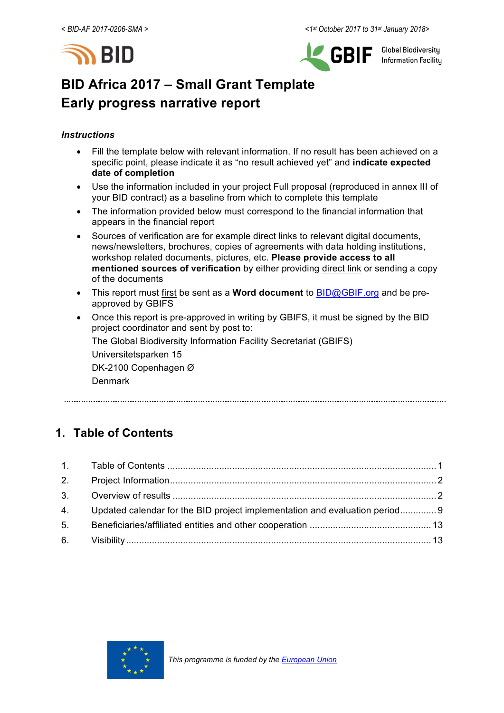



**Global Biodiversity Information Facility** 

# **BID Africa 2017 – Small Grant Template Early progress narrative report**

### *Instructions*

- Fill the template below with relevant information. If no result has been achieved on a specific point, please indicate it as "no result achieved yet" and **indicate expected date of completion**
- Use the information included in your project Full proposal (reproduced in annex III of your BID contract) as a baseline from which to complete this template
- The information provided below must correspond to the financial information that appears in the financial report
- Sources of verification are for example direct links to relevant digital documents, news/newsletters, brochures, copies of agreements with data holding institutions, workshop related documents, pictures, etc. **Please provide access to all mentioned sources of verification** by either providing direct link or sending a copy of the documents
- This report must first be sent as a **Word document** to BID@GBIF.org and be preapproved by GBIFS
- Once this report is pre-approved in writing by GBIFS, it must be signed by the BID project coordinator and sent by post to:

The Global Biodiversity Information Facility Secretariat (GBIFS)

Universitetsparken 15 DK-2100 Copenhagen Ø

Denmark

## **1. Table of Contents**

|    | 4. Updated calendar for the BID project implementation and evaluation period 9 |  |
|----|--------------------------------------------------------------------------------|--|
| 5. |                                                                                |  |
|    |                                                                                |  |

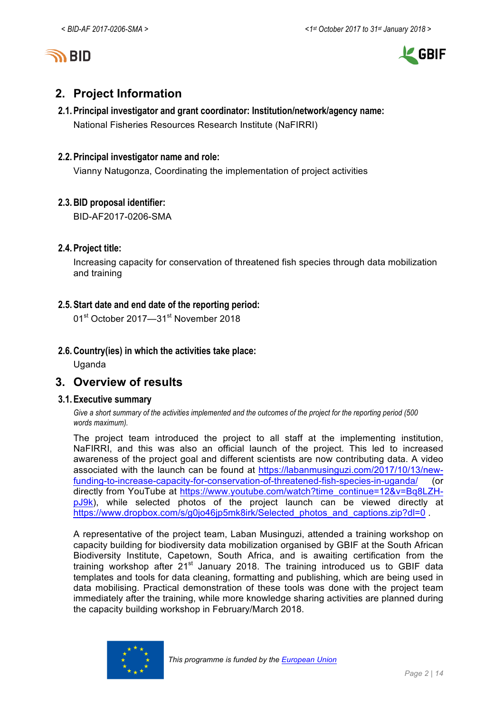



## **2. Project Information**

## **2.1.Principal investigator and grant coordinator: Institution/network/agency name:** National Fisheries Resources Research Institute (NaFIRRI)

### **2.2.Principal investigator name and role:**

Vianny Natugonza, Coordinating the implementation of project activities

### **2.3.BID proposal identifier:**

BID-AF2017-0206-SMA

### **2.4.Project title:**

Increasing capacity for conservation of threatened fish species through data mobilization and training

### **2.5.Start date and end date of the reporting period:**

01<sup>st</sup> October 2017—31<sup>st</sup> November 2018

### **2.6.Country(ies) in which the activities take place:**

Uganda

## **3. Overview of results**

### **3.1.Executive summary**

*Give a short summary of the activities implemented and the outcomes of the project for the reporting period (500 words maximum).*

The project team introduced the project to all staff at the implementing institution, NaFIRRI, and this was also an official launch of the project. This led to increased awareness of the project goal and different scientists are now contributing data. A video associated with the launch can be found at https://labanmusinguzi.com/2017/10/13/newfunding-to-increase-capacity-for-conservation-of-threatened-fish-species-in-uganda/ (or directly from YouTube at https://www.youtube.com/watch?time\_continue=12&v=Bq8LZHpJ9k), while selected photos of the project launch can be viewed directly at https://www.dropbox.com/s/g0jo46jp5mk8irk/Selected\_photos\_and\_captions.zip?dl=0

A representative of the project team, Laban Musinguzi, attended a training workshop on capacity building for biodiversity data mobilization organised by GBIF at the South African Biodiversity Institute, Capetown, South Africa, and is awaiting certification from the training workshop after  $21<sup>st</sup>$  January 2018. The training introduced us to GBIF data templates and tools for data cleaning, formatting and publishing, which are being used in data mobilising. Practical demonstration of these tools was done with the project team immediately after the training, while more knowledge sharing activities are planned during the capacity building workshop in February/March 2018.

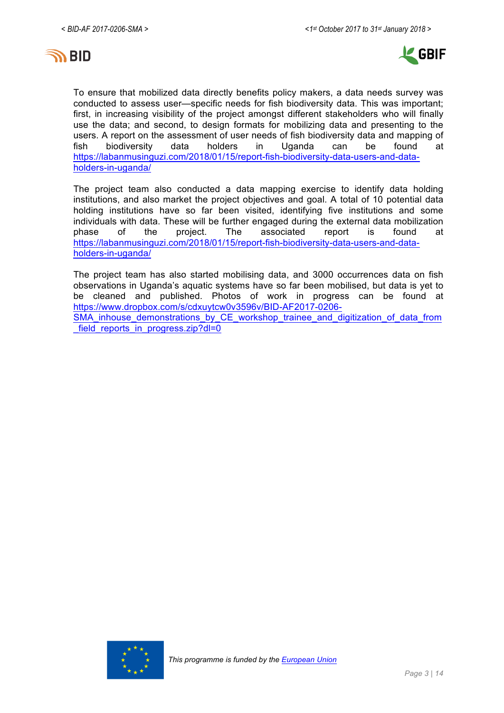



To ensure that mobilized data directly benefits policy makers, a data needs survey was conducted to assess user—specific needs for fish biodiversity data. This was important; first, in increasing visibility of the project amongst different stakeholders who will finally use the data; and second, to design formats for mobilizing data and presenting to the users. A report on the assessment of user needs of fish biodiversity data and mapping of fish biodiversity data holders in Uganda can be found at https://labanmusinguzi.com/2018/01/15/report-fish-biodiversity-data-users-and-dataholders-in-uganda/

The project team also conducted a data mapping exercise to identify data holding institutions, and also market the project objectives and goal. A total of 10 potential data holding institutions have so far been visited, identifying five institutions and some individuals with data. These will be further engaged during the external data mobilization<br>
phase of the proiect. The associated report is found at phase of the project. The associated report is found at https://labanmusinguzi.com/2018/01/15/report-fish-biodiversity-data-users-and-dataholders-in-uganda/

The project team has also started mobilising data, and 3000 occurrences data on fish observations in Uganda's aquatic systems have so far been mobilised, but data is yet to be cleaned and published. Photos of work in progress can be found at https://www.dropbox.com/s/cdxuytcw0v3596v/BID-AF2017-0206- SMA inhouse demonstrations by CE workshop trainee and digitization of data from field\_reports\_in\_progress.zip?dl=0

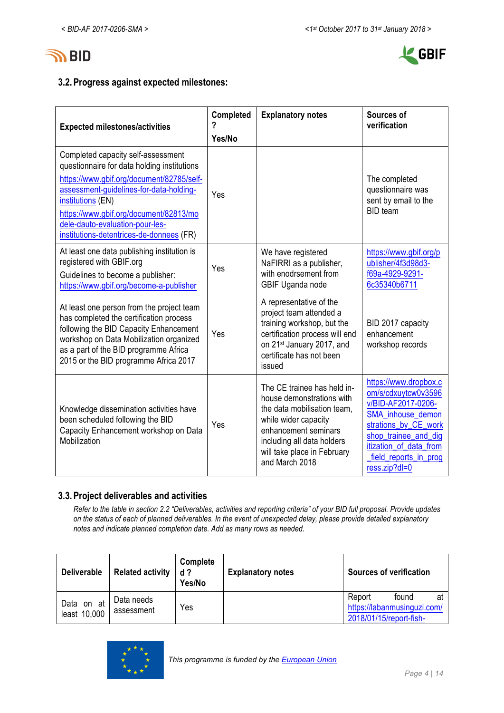



## **3.2.Progress against expected milestones:**

| <b>Expected milestones/activities</b>                                                                                                                                                                                                                                                                                   | Completed<br>?<br>Yes/No | <b>Explanatory notes</b>                                                                                                                                                                                               | Sources of<br>verification                                                                                                                                                                                  |
|-------------------------------------------------------------------------------------------------------------------------------------------------------------------------------------------------------------------------------------------------------------------------------------------------------------------------|--------------------------|------------------------------------------------------------------------------------------------------------------------------------------------------------------------------------------------------------------------|-------------------------------------------------------------------------------------------------------------------------------------------------------------------------------------------------------------|
| Completed capacity self-assessment<br>questionnaire for data holding institutions<br>https://www.gbif.org/document/82785/self-<br>assessment-guidelines-for-data-holding-<br>institutions (EN)<br>https://www.gbif.org/document/82813/mo<br>dele-dauto-evaluation-pour-les-<br>institutions-detentrices-de-donnees (FR) | Yes                      |                                                                                                                                                                                                                        | The completed<br>questionnaire was<br>sent by email to the<br><b>BID</b> team                                                                                                                               |
| At least one data publishing institution is<br>registered with GBIF.org<br>Guidelines to become a publisher:<br>https://www.gbif.org/become-a-publisher                                                                                                                                                                 | Yes                      | We have registered<br>NaFIRRI as a publisher,<br>with enodrsement from<br>GBIF Uganda node                                                                                                                             | https://www.gbif.org/p<br>ublisher/4f3d98d3-<br>f69a-4929-9291-<br>6c35340b6711                                                                                                                             |
| At least one person from the project team<br>has completed the certification process<br>following the BID Capacity Enhancement<br>workshop on Data Mobilization organized<br>as a part of the BID programme Africa<br>2015 or the BID programme Africa 2017                                                             | Yes                      | A representative of the<br>project team attended a<br>training workshop, but the<br>certification process will end<br>on 21 <sup>st</sup> January 2017, and<br>certificate has not been<br>issued                      | BID 2017 capacity<br>enhancement<br>workshop records                                                                                                                                                        |
| Knowledge dissemination activities have<br>been scheduled following the BID<br>Capacity Enhancement workshop on Data<br>Mobilization                                                                                                                                                                                    | Yes                      | The CE trainee has held in-<br>house demonstrations with<br>the data mobilisation team,<br>while wider capacity<br>enhancement seminars<br>including all data holders<br>will take place in February<br>and March 2018 | https://www.dropbox.c<br>om/s/cdxuytcw0v3596<br>v/BID-AF2017-0206-<br>SMA_inhouse_demon<br>strations_by_CE_work<br>shop_trainee_and_dig<br>itization_of_data_from<br>field_reports_in_prog<br>ress.zip?dl=0 |

### **3.3.Project deliverables and activities**

*Refer to the table in section 2.2 "Deliverables, activities and reporting criteria" of your BID full proposal. Provide updates on the status of each of planned deliverables. In the event of unexpected delay, please provide detailed explanatory notes and indicate planned completion date. Add as many rows as needed.*

| <b>Deliverable</b>            | <b>Related activity</b>  | Complete<br>$d$ ?<br>Yes/No | <b>Explanatory notes</b> |                                   | <b>Sources of verification</b>       |    |
|-------------------------------|--------------------------|-----------------------------|--------------------------|-----------------------------------|--------------------------------------|----|
| Data<br>on at<br>least 10,000 | Data needs<br>assessment | Yes                         |                          | Report<br>2018/01/15/report-fish- | found<br>https://labanmusinguzi.com/ | at |

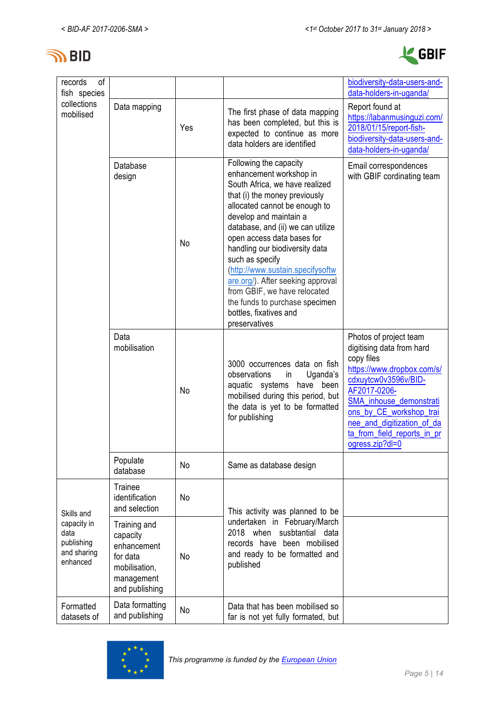



| of<br>records<br>fish species                                |                                                                                                      |     |                                                                                                                                                                                                                                                                                                                                                                                                                                                                                               | biodiversity-data-users-and-<br>data-holders-in-uganda/                                                                                                                                                                                                                       |
|--------------------------------------------------------------|------------------------------------------------------------------------------------------------------|-----|-----------------------------------------------------------------------------------------------------------------------------------------------------------------------------------------------------------------------------------------------------------------------------------------------------------------------------------------------------------------------------------------------------------------------------------------------------------------------------------------------|-------------------------------------------------------------------------------------------------------------------------------------------------------------------------------------------------------------------------------------------------------------------------------|
| collections<br>mobilised                                     | Data mapping                                                                                         | Yes | The first phase of data mapping<br>has been completed, but this is<br>expected to continue as more<br>data holders are identified                                                                                                                                                                                                                                                                                                                                                             | Report found at<br>https://labanmusinguzi.com/<br>2018/01/15/report-fish-<br>biodiversity-data-users-and-<br>data-holders-in-uganda/                                                                                                                                          |
|                                                              | Database<br>design                                                                                   | No  | Following the capacity<br>enhancement workshop in<br>South Africa, we have realized<br>that (i) the money previously<br>allocated cannot be enough to<br>develop and maintain a<br>database, and (ii) we can utilize<br>open access data bases for<br>handling our biodiversity data<br>such as specify<br>(http://www.sustain.specifysoftw<br>are.org/). After seeking approval<br>from GBIF, we have relocated<br>the funds to purchase specimen<br>bottles, fixatives and<br>preservatives | Email correspondences<br>with GBIF cordinating team                                                                                                                                                                                                                           |
|                                                              | Data<br>mobilisation                                                                                 | No  | 3000 occurrences data on fish<br>observations<br>Uganda's<br>in<br>aquatic systems have<br>been<br>mobilised during this period, but<br>the data is yet to be formatted<br>for publishing                                                                                                                                                                                                                                                                                                     | Photos of project team<br>digitising data from hard<br>copy files<br>https://www.dropbox.com/s/<br>cdxuytcw0v3596v/BID-<br>AF2017-0206-<br>SMA_inhouse_demonstrati<br>ons_by_CE_workshop_trai<br>nee_and_digitization_of_da<br>ta_from_field_reports_in_pr<br>ogress.zip?dl=0 |
|                                                              | Populate<br>database                                                                                 | No  | Same as database design                                                                                                                                                                                                                                                                                                                                                                                                                                                                       |                                                                                                                                                                                                                                                                               |
| Skills and                                                   | Trainee<br>identification<br>No<br>and selection                                                     |     | This activity was planned to be                                                                                                                                                                                                                                                                                                                                                                                                                                                               |                                                                                                                                                                                                                                                                               |
| capacity in<br>data<br>publishing<br>and sharing<br>enhanced | Training and<br>capacity<br>enhancement<br>for data<br>mobilisation,<br>management<br>and publishing | No  | undertaken in February/March<br>2018 when<br>susbtantial data<br>records have been mobilised<br>and ready to be formatted and<br>published                                                                                                                                                                                                                                                                                                                                                    |                                                                                                                                                                                                                                                                               |
| Formatted<br>datasets of                                     | Data formatting<br>and publishing                                                                    | No  | Data that has been mobilised so<br>far is not yet fully formated, but                                                                                                                                                                                                                                                                                                                                                                                                                         |                                                                                                                                                                                                                                                                               |

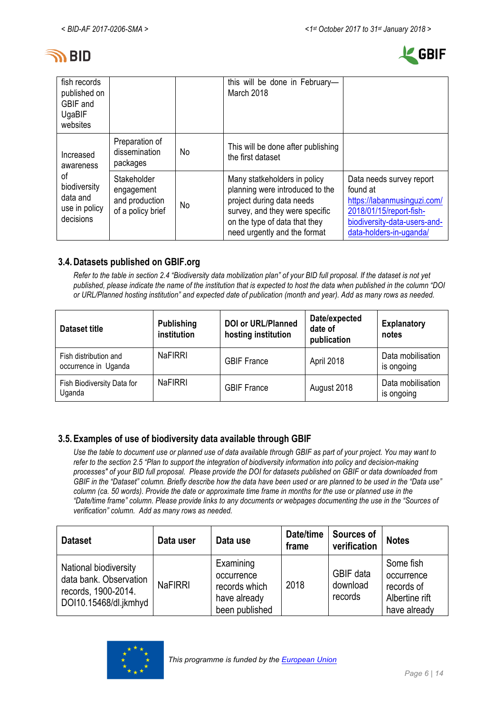



| fish records<br>published on<br>GBIF and<br>UgaBIF<br>websites |                                                                        |    | this will be done in February-<br>March 2018                                                                                                                                                    |                                                                                                                                                           |
|----------------------------------------------------------------|------------------------------------------------------------------------|----|-------------------------------------------------------------------------------------------------------------------------------------------------------------------------------------------------|-----------------------------------------------------------------------------------------------------------------------------------------------------------|
| Increased<br>awareness                                         | Preparation of<br>dissemination<br>packages                            | No | This will be done after publishing<br>the first dataset                                                                                                                                         |                                                                                                                                                           |
| οf<br>biodiversity<br>data and<br>use in policy<br>decisions   | Stakeholder<br>engagement<br>and production<br>No<br>of a policy brief |    | Many statkeholders in policy<br>planning were introduced to the<br>project during data needs<br>survey, and they were specific<br>on the type of data that they<br>need urgently and the format | Data needs survey report<br>found at<br>https://labanmusinguzi.com/<br>2018/01/15/report-fish-<br>biodiversity-data-users-and-<br>data-holders-in-uganda/ |

## **3.4.Datasets published on GBIF.org**

*Refer to the table in section 2.4 "Biodiversity data mobilization plan" of your BID full proposal. If the dataset is not yet published, please indicate the name of the institution that is expected to host the data when published in the column "DOI or URL/Planned hosting institution" and expected date of publication (month and year). Add as many rows as needed.*

| Dataset title                                 | <b>Publishing</b><br>institution | <b>DOI or URL/Planned</b><br>hosting institution | Date/expected<br>date of<br>publication | <b>Explanatory</b><br>notes     |
|-----------------------------------------------|----------------------------------|--------------------------------------------------|-----------------------------------------|---------------------------------|
| Fish distribution and<br>occurrence in Uganda | <b>NaFIRRI</b>                   | <b>GBIF France</b>                               | April 2018                              | Data mobilisation<br>is ongoing |
| Fish Biodiversity Data for<br>Uganda          | <b>NaFIRRI</b>                   | <b>GBIF France</b>                               | August 2018                             | Data mobilisation<br>is ongoing |

## **3.5.Examples of use of biodiversity data available through GBIF**

*Use the table to document use or planned use of data available through GBIF as part of your project. You may want to refer to the section 2.5 "Plan to support the integration of biodiversity information into policy and decision-making processes" of your BID full proposal. Please provide the DOI for datasets published on GBIF or data downloaded from GBIF in the "Dataset" column. Briefly describe how the data have been used or are planned to be used in the "Data use" column (ca. 50 words). Provide the date or approximate time frame in months for the use or planned use in the "Date/time frame" column. Please provide links to any documents or webpages documenting the use in the "Sources of verification" column. Add as many rows as needed.*

| <b>Dataset</b>                                                                                  | Data user      | Data use                                                                   | Date/time<br>frame | Sources of<br>verification       | <b>Notes</b>                                                            |
|-------------------------------------------------------------------------------------------------|----------------|----------------------------------------------------------------------------|--------------------|----------------------------------|-------------------------------------------------------------------------|
| National biodiversity<br>data bank. Observation<br>records, 1900-2014.<br>DOI10.15468/dl.jkmhyd | <b>NaFIRRI</b> | Examining<br>occurrence<br>records which<br>have already<br>been published | 2018               | GBIF data<br>download<br>records | Some fish<br>occurrence<br>records of<br>Albertine rift<br>have already |

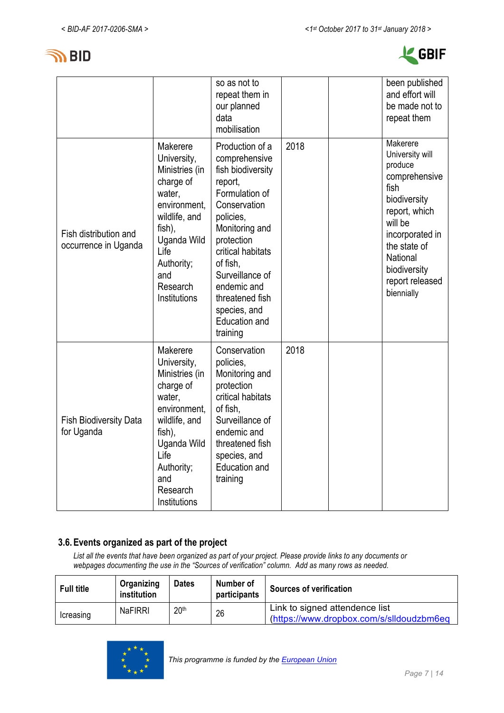



|                                               |                                                                                                                                                                                     | so as not to<br>repeat them in<br>our planned<br>data<br>mobilisation                                                                                                                                                                                                              |      | been published<br>and effort will<br>be made not to<br>repeat them                                                                                                                                          |
|-----------------------------------------------|-------------------------------------------------------------------------------------------------------------------------------------------------------------------------------------|------------------------------------------------------------------------------------------------------------------------------------------------------------------------------------------------------------------------------------------------------------------------------------|------|-------------------------------------------------------------------------------------------------------------------------------------------------------------------------------------------------------------|
| Fish distribution and<br>occurrence in Uganda | Makerere<br>University,<br>Ministries (in<br>charge of<br>water,<br>environment,<br>wildlife, and<br>fish),<br>Uganda Wild<br>Life<br>Authority;<br>and<br>Research<br>Institutions | Production of a<br>comprehensive<br>fish biodiversity<br>report,<br>Formulation of<br>Conservation<br>policies,<br>Monitoring and<br>protection<br>critical habitats<br>of fish,<br>Surveillance of<br>endemic and<br>threatened fish<br>species, and<br>Education and<br>training | 2018 | Makerere<br>University will<br>produce<br>comprehensive<br>fish<br>biodiversity<br>report, which<br>will be<br>incorporated in<br>the state of<br>National<br>biodiversity<br>report released<br>biennially |
| <b>Fish Biodiversity Data</b><br>for Uganda   | Makerere<br>University,<br>Ministries (in<br>charge of<br>water,<br>environment,<br>wildlife, and<br>fish),<br>Uganda Wild<br>Life<br>Authority;<br>and<br>Research<br>Institutions | Conservation<br>policies,<br>Monitoring and<br>protection<br>critical habitats<br>of fish,<br>Surveillance of<br>endemic and<br>threatened fish<br>species, and<br><b>Education and</b><br>training                                                                                | 2018 |                                                                                                                                                                                                             |

### **3.6.Events organized as part of the project**

*List all the events that have been organized as part of your project. Please provide links to any documents or webpages documenting the use in the "Sources of verification" column. Add as many rows as needed.*

| <b>Full title</b> | Organizing<br>institution | <b>Dates</b>     | Number of<br>participants | <b>Sources of verification</b>                                             |
|-------------------|---------------------------|------------------|---------------------------|----------------------------------------------------------------------------|
| Icreasing         | <b>NaFIRRI</b>            | 20 <sup>th</sup> | 26                        | Link to signed attendence list<br>(https://www.dropbox.com/s/slldoudzbm6eq |

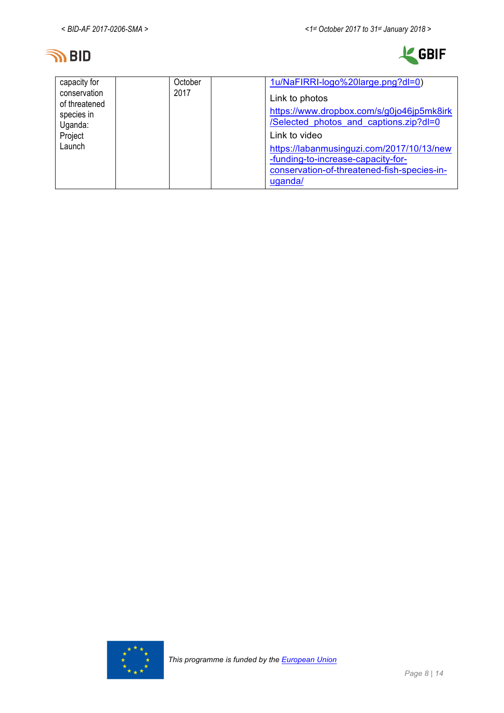



| capacity for<br>conservation<br>of threatened<br>species in<br>Uganda:<br>Project<br>Launch | October<br>2017 | 1u/NaFIRRI-logo%20large.png?dl=0)<br>Link to photos<br>https://www.dropbox.com/s/g0jo46jp5mk8irk<br>/Selected photos and captions.zip?dl=0<br>Link to video<br>https://labanmusinguzi.com/2017/10/13/new<br>-funding-to-increase-capacity-for-<br>conservation-of-threatened-fish-species-in- |
|---------------------------------------------------------------------------------------------|-----------------|-----------------------------------------------------------------------------------------------------------------------------------------------------------------------------------------------------------------------------------------------------------------------------------------------|
|                                                                                             |                 | uganda/                                                                                                                                                                                                                                                                                       |

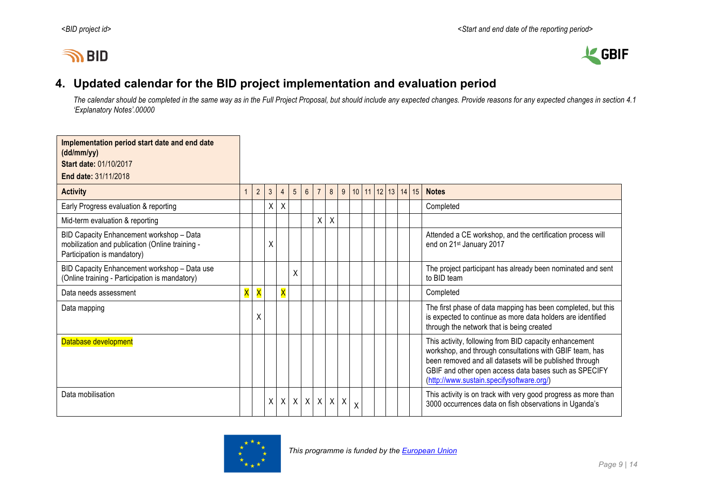



## **4. Updated calendar for the BID project implementation and evaluation period**

*The calendar should be completed in the same way as in the Full Project Proposal, but should include any expected changes. Provide reasons for any expected changes in section 4.1 'Explanatory Notes'.00000*

| Implementation period start date and end date<br>(dd/mm/yy)                                                                |   |                |              |                         |                 |                |                 |         |                  |                   |  |  |                                                                                                                                                                                                                                                                                    |
|----------------------------------------------------------------------------------------------------------------------------|---|----------------|--------------|-------------------------|-----------------|----------------|-----------------|---------|------------------|-------------------|--|--|------------------------------------------------------------------------------------------------------------------------------------------------------------------------------------------------------------------------------------------------------------------------------------|
| Start date: 01/10/2017                                                                                                     |   |                |              |                         |                 |                |                 |         |                  |                   |  |  |                                                                                                                                                                                                                                                                                    |
| End date: 31/11/2018                                                                                                       |   |                |              |                         |                 |                |                 |         |                  |                   |  |  |                                                                                                                                                                                                                                                                                    |
| <b>Activity</b>                                                                                                            |   | $\overline{2}$ | $\mathbf{3}$ | $\overline{4}$          | $5\overline{)}$ | $6\phantom{.}$ | $\overline{7}$  | 8       | 9                | 10 11 12 13 14 15 |  |  | <b>Notes</b>                                                                                                                                                                                                                                                                       |
| Early Progress evaluation & reporting                                                                                      |   |                | Χ            | Χ                       |                 |                |                 |         |                  |                   |  |  | Completed                                                                                                                                                                                                                                                                          |
| Mid-term evaluation & reporting                                                                                            |   |                |              |                         |                 |                | $\mathsf{X}$    | $\sf X$ |                  |                   |  |  |                                                                                                                                                                                                                                                                                    |
| BID Capacity Enhancement workshop - Data<br>mobilization and publication (Online training -<br>Participation is mandatory) |   |                | Χ            |                         |                 |                |                 |         |                  |                   |  |  | Attended a CE workshop, and the certification process will<br>end on 21 <sup>st</sup> January 2017                                                                                                                                                                                 |
| BID Capacity Enhancement workshop - Data use<br>(Online training - Participation is mandatory)                             |   |                |              |                         | $\sf X$         |                |                 |         |                  |                   |  |  | The project participant has already been nominated and sent<br>to BID team                                                                                                                                                                                                         |
| Data needs assessment                                                                                                      | X | X              |              | $\overline{\mathsf{X}}$ |                 |                |                 |         |                  |                   |  |  | Completed                                                                                                                                                                                                                                                                          |
| Data mapping                                                                                                               |   | χ              |              |                         |                 |                |                 |         |                  |                   |  |  | The first phase of data mapping has been completed, but this<br>is expected to continue as more data holders are identified<br>through the network that is being created                                                                                                           |
| Database development                                                                                                       |   |                |              |                         |                 |                |                 |         |                  |                   |  |  | This activity, following from BID capacity enhancement<br>workshop, and through consultations with GBIF team, has<br>been removed and all datasets will be published through<br>GBIF and other open access data bases such as SPECIFY<br>(http://www.sustain.specifysoftware.org/) |
| Data mobilisation                                                                                                          |   |                | X            | $\sf X$                 |                 |                | $X$ $X$ $X$ $X$ |         | $\boldsymbol{X}$ | X                 |  |  | This activity is on track with very good progress as more than<br>3000 occurrences data on fish observations in Uganda's                                                                                                                                                           |

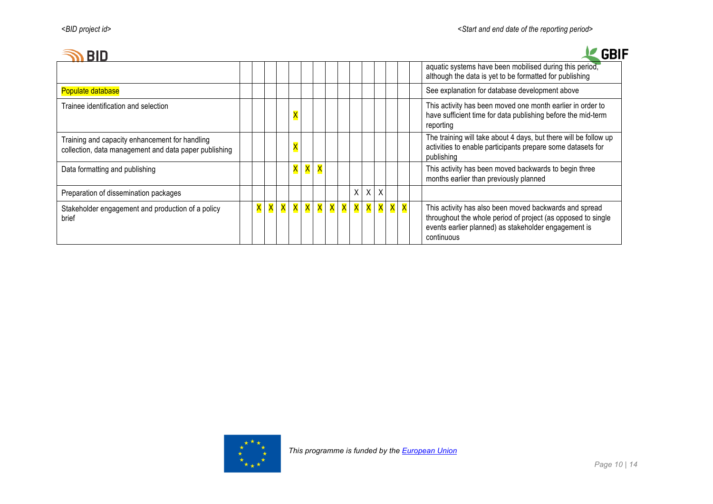## **SARIN**

| GBIF |
|------|
|      |

| טוט                                                                                                     |                         |          |                         |                           |   |                   |  |         |          |                              |                                                                                                                                                                                              |
|---------------------------------------------------------------------------------------------------------|-------------------------|----------|-------------------------|---------------------------|---|-------------------|--|---------|----------|------------------------------|----------------------------------------------------------------------------------------------------------------------------------------------------------------------------------------------|
|                                                                                                         |                         |          |                         |                           |   |                   |  |         |          |                              | aquatic systems have been mobilised during this period,<br>although the data is yet to be formatted for publishing                                                                           |
| Populate database                                                                                       |                         |          |                         |                           |   |                   |  |         |          |                              | See explanation for database development above                                                                                                                                               |
| Trainee identification and selection                                                                    |                         |          | $\overline{\mathsf{X}}$ |                           |   |                   |  |         |          |                              | This activity has been moved one month earlier in order to<br>have sufficient time for data publishing before the mid-term<br>reporting                                                      |
| Training and capacity enhancement for handling<br>collection, data management and data paper publishing |                         |          | $\overline{\mathsf{x}}$ |                           |   |                   |  |         |          |                              | The training will take about 4 days, but there will be follow up<br>activities to enable participants prepare some datasets for<br>publishing                                                |
| Data formatting and publishing                                                                          |                         |          | X                       | $\overline{\mathsf{x}}$ . | X |                   |  |         |          |                              | This activity has been moved backwards to begin three<br>months earlier than previously planned                                                                                              |
| Preparation of dissemination packages                                                                   |                         |          |                         |                           |   |                   |  | $X$ $X$ | X        |                              |                                                                                                                                                                                              |
| Stakeholder engagement and production of a policy<br>brief                                              | $\overline{\mathsf{X}}$ | <b>X</b> |                         |                           |   | X X X X X X X X X |  |         | <b>X</b> | $\mathsf{X} \mid \mathsf{X}$ | This activity has also been moved backwards and spread<br>throughout the whole period of project (as opposed to single<br>events earlier planned) as stakeholder engagement is<br>continuous |

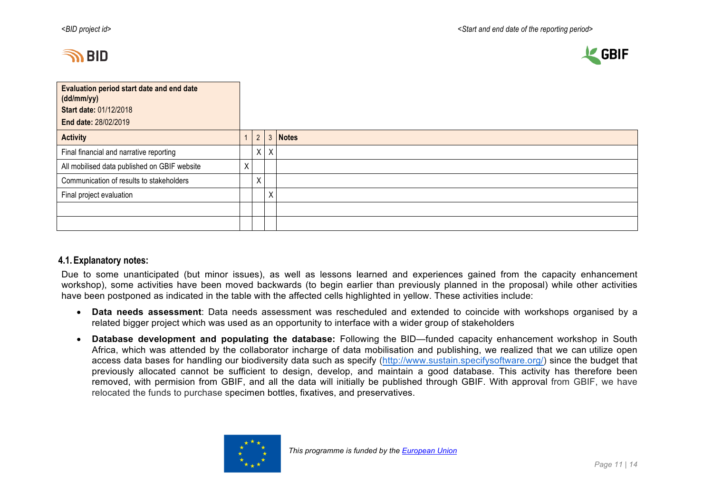



| <b>Evaluation period start date and end date</b><br>(dd/mm/yy)<br><b>Start date: 01/12/2018</b><br>End date: 28/02/2019 |   |                |         |              |
|-------------------------------------------------------------------------------------------------------------------------|---|----------------|---------|--------------|
| <b>Activity</b>                                                                                                         |   | $\overline{2}$ | 3       | <b>Notes</b> |
| Final financial and narrative reporting                                                                                 |   |                | $X$ $X$ |              |
| All mobilised data published on GBIF website                                                                            | Χ |                |         |              |
| Communication of results to stakeholders                                                                                |   | Χ              |         |              |
| Final project evaluation                                                                                                |   |                | Χ       |              |
|                                                                                                                         |   |                |         |              |
|                                                                                                                         |   |                |         |              |

### **4.1.Explanatory notes:**

Due to some unanticipated (but minor issues), as well as lessons learned and experiences gained from the capacity enhancement workshop), some activities have been moved backwards (to begin earlier than previously planned in the proposal) while other activities have been postponed as indicated in the table with the affected cells highlighted in yellow. These activities include:

- **Data needs assessment**: Data needs assessment was rescheduled and extended to coincide with workshops organised by a related bigger project which was used as an opportunity to interface with a wider group of stakeholders
- **Database development and populating the database:** Following the BID—funded capacity enhancement workshop in South Africa, which was attended by the collaborator incharge of data mobilisation and publishing, we realized that we can utilize open access data bases for handling our biodiversity data such as specify (http://www.sustain.specifysoftware.org/) since the budget that previously allocated cannot be sufficient to design, develop, and maintain a good database. This activity has therefore been removed, with permision from GBIF, and all the data will initially be published through GBIF. With approval from GBIF, we have relocated the funds to purchase specimen bottles, fixatives, and preservatives.

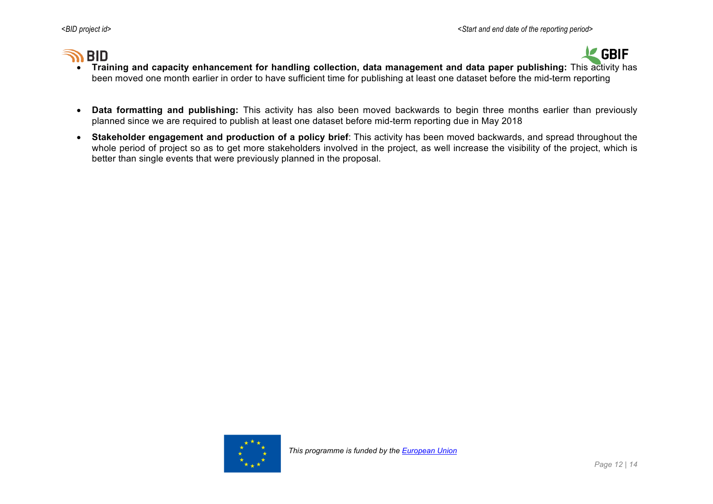# **BID**



- **Training and capacity enhancement for handling collection, data management and data paper publishing:** This activity has been moved one month earlier in order to have sufficient time for publishing at least one dataset before the mid-term reporting
- **Data formatting and publishing:** This activity has also been moved backwards to begin three months earlier than previously planned since we are required to publish at least one dataset before mid-term reporting due in May 2018
- **Stakeholder engagement and production of a policy brief**: This activity has been moved backwards, and spread throughout the whole period of project so as to get more stakeholders involved in the project, as well increase the visibility of the project, which is better than single events that were previously planned in the proposal.

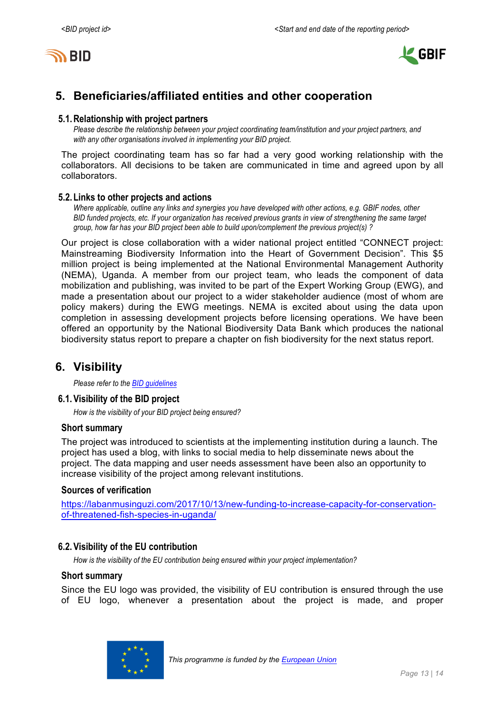



## **5. Beneficiaries/affiliated entities and other cooperation**

#### **5.1.Relationship with project partners**

*Please describe the relationship between your project coordinating team/institution and your project partners, and with any other organisations involved in implementing your BID project.*

The project coordinating team has so far had a very good working relationship with the collaborators. All decisions to be taken are communicated in time and agreed upon by all collaborators.

#### **5.2.Links to other projects and actions**

*Where applicable, outline any links and synergies you have developed with other actions, e.g. GBIF nodes, other BID funded projects, etc. If your organization has received previous grants in view of strengthening the same target group, how far has your BID project been able to build upon/complement the previous project(s) ?*

Our project is close collaboration with a wider national project entitled "CONNECT project: Mainstreaming Biodiversity Information into the Heart of Government Decision". This \$5 million project is being implemented at the National Environmental Management Authority (NEMA), Uganda. A member from our project team, who leads the component of data mobilization and publishing, was invited to be part of the Expert Working Group (EWG), and made a presentation about our project to a wider stakeholder audience (most of whom are policy makers) during the EWG meetings. NEMA is excited about using the data upon completion in assessing development projects before licensing operations. We have been offered an opportunity by the National Biodiversity Data Bank which produces the national biodiversity status report to prepare a chapter on fish biodiversity for the next status report.

## **6. Visibility**

*Please refer to the BID guidelines*

#### **6.1.Visibility of the BID project**

*How is the visibility of your BID project being ensured?*

#### **Short summary**

The project was introduced to scientists at the implementing institution during a launch. The project has used a blog, with links to social media to help disseminate news about the project. The data mapping and user needs assessment have been also an opportunity to increase visibility of the project among relevant institutions.

#### **Sources of verification**

https://labanmusinguzi.com/2017/10/13/new-funding-to-increase-capacity-for-conservationof-threatened-fish-species-in-uganda/

### **6.2.Visibility of the EU contribution**

*How is the visibility of the EU contribution being ensured within your project implementation?*

### **Short summary**

Since the EU logo was provided, the visibility of EU contribution is ensured through the use of EU logo, whenever a presentation about the project is made, and proper